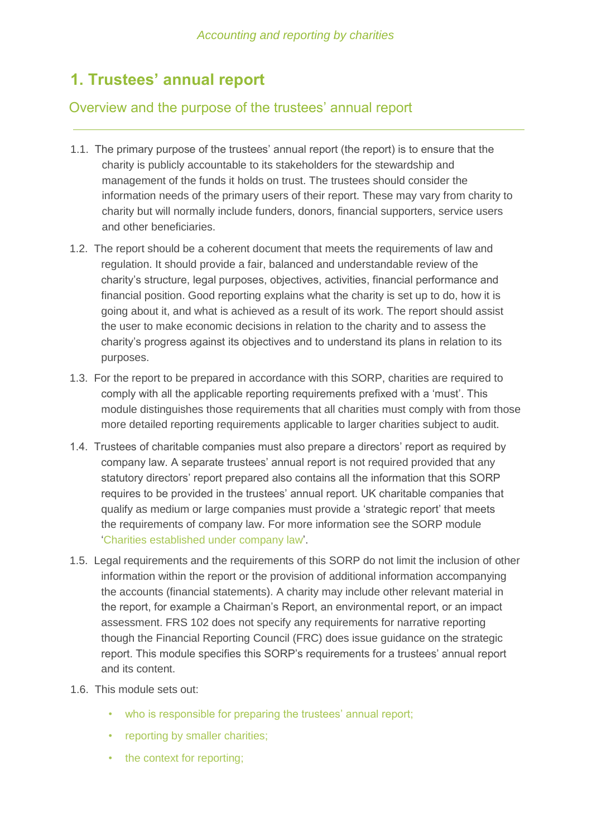# **1. Trustees' annual report**

### Overview and the purpose of the trustees' annual report

- 1.1. The primary purpose of the trustees' annual report (the report) is to ensure that the charity is publicly accountable to its stakeholders for the stewardship and management of the funds it holds on trust. The trustees should consider the information needs of the primary users of their report. These may vary from charity to charity but will normally include funders, donors, financial supporters, service users and other beneficiaries.
- 1.2. The report should be a coherent document that meets the requirements of law and regulation. It should provide a fair, balanced and understandable review of the charity's structure, legal purposes, objectives, activities, financial performance and financial position. Good reporting explains what the charity is set up to do, how it is going about it, and what is achieved as a result of its work. The report should assist the user to make economic decisions in relation to the charity and to assess the charity's progress against its objectives and to understand its plans in relation to its purposes.
- 1.3. For the report to be prepared in accordance with this SORP, charities are required to comply with all the applicable reporting requirements prefixed with a 'must'. This module distinguishes those requirements that all charities must comply with from those more detailed reporting requirements applicable to larger charities subject to audit.
- 1.4. Trustees of charitable companies must also prepare a directors' report as required by company law. A separate trustees' annual report is not required provided that any statutory directors' report prepared also contains all the information that this SORP requires to be provided in the trustees' annual report. UK charitable companies that qualify as medium or large companies must provide a 'strategic report' that meets the requirements of company law. For more information see the SORP module 'Charities established under company law'.
- 1.5. Legal requirements and the requirements of this SORP do not limit the inclusion of other information within the report or the provision of additional information accompanying the accounts (financial statements). A charity may include other relevant material in the report, for example a Chairman's Report, an environmental report, or an impact assessment. FRS 102 does not specify any requirements for narrative reporting though the Financial Reporting Council (FRC) does issue guidance on the strategic report. This module specifies this SORP's requirements for a trustees' annual report and its content.
- 1.6. This module sets out:
	- who is responsible for preparing the trustees' annual report;
	- reporting by smaller charities;
	- the context for reporting: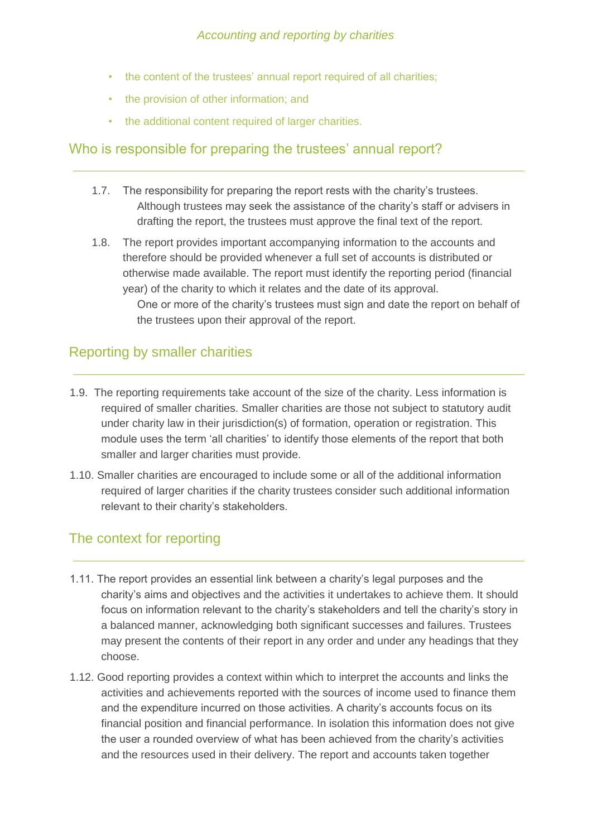- the content of the trustees' annual report required of all charities;
- the provision of other information; and
- the additional content required of larger charities.

# Who is responsible for preparing the trustees' annual report?

- 1.7. The responsibility for preparing the report rests with the charity's trustees. Although trustees may seek the assistance of the charity's staff or advisers in drafting the report, the trustees must approve the final text of the report.
- 1.8. The report provides important accompanying information to the accounts and therefore should be provided whenever a full set of accounts is distributed or otherwise made available. The report must identify the reporting period (financial year) of the charity to which it relates and the date of its approval.

One or more of the charity's trustees must sign and date the report on behalf of the trustees upon their approval of the report.

### Reporting by smaller charities

- 1.9. The reporting requirements take account of the size of the charity. Less information is required of smaller charities. Smaller charities are those not subject to statutory audit under charity law in their jurisdiction(s) of formation, operation or registration. This module uses the term 'all charities' to identify those elements of the report that both smaller and larger charities must provide.
- 1.10. Smaller charities are encouraged to include some or all of the additional information required of larger charities if the charity trustees consider such additional information relevant to their charity's stakeholders.

# The context for reporting

- 1.11. The report provides an essential link between a charity's legal purposes and the charity's aims and objectives and the activities it undertakes to achieve them. It should focus on information relevant to the charity's stakeholders and tell the charity's story in a balanced manner, acknowledging both significant successes and failures. Trustees may present the contents of their report in any order and under any headings that they choose.
- 1.12. Good reporting provides a context within which to interpret the accounts and links the activities and achievements reported with the sources of income used to finance them and the expenditure incurred on those activities. A charity's accounts focus on its financial position and financial performance. In isolation this information does not give the user a rounded overview of what has been achieved from the charity's activities and the resources used in their delivery. The report and accounts taken together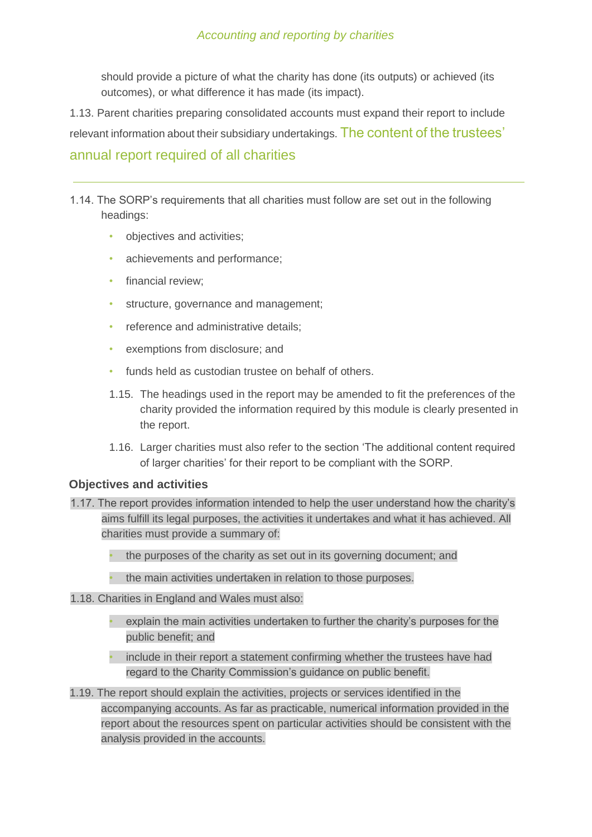#### *Accounting and reporting by charities*

should provide a picture of what the charity has done (its outputs) or achieved (its outcomes), or what difference it has made (its impact).

1.13. Parent charities preparing consolidated accounts must expand their report to include relevant information about their subsidiary undertakings. The content of the trustees' annual report required of all charities

1.14. The SORP's requirements that all charities must follow are set out in the following headings:

- objectives and activities;
- achievements and performance:
- financial review:
- structure, governance and management;
- reference and administrative details;
- exemptions from disclosure; and
- funds held as custodian trustee on behalf of others.
- 1.15. The headings used in the report may be amended to fit the preferences of the charity provided the information required by this module is clearly presented in the report.
- 1.16. Larger charities must also refer to the section 'The additional content required of larger charities' for their report to be compliant with the SORP.

#### **Objectives and activities**

- 1.17. The report provides information intended to help the user understand how the charity's aims fulfill its legal purposes, the activities it undertakes and what it has achieved. All charities must provide a summary of:
	- the purposes of the charity as set out in its governing document; and
	- the main activities undertaken in relation to those purposes.
- 1.18. Charities in England and Wales must also:
	- explain the main activities undertaken to further the charity's purposes for the public benefit; and
	- include in their report a statement confirming whether the trustees have had regard to the Charity Commission's guidance on public benefit.
- 1.19. The report should explain the activities, projects or services identified in the accompanying accounts. As far as practicable, numerical information provided in the report about the resources spent on particular activities should be consistent with the analysis provided in the accounts.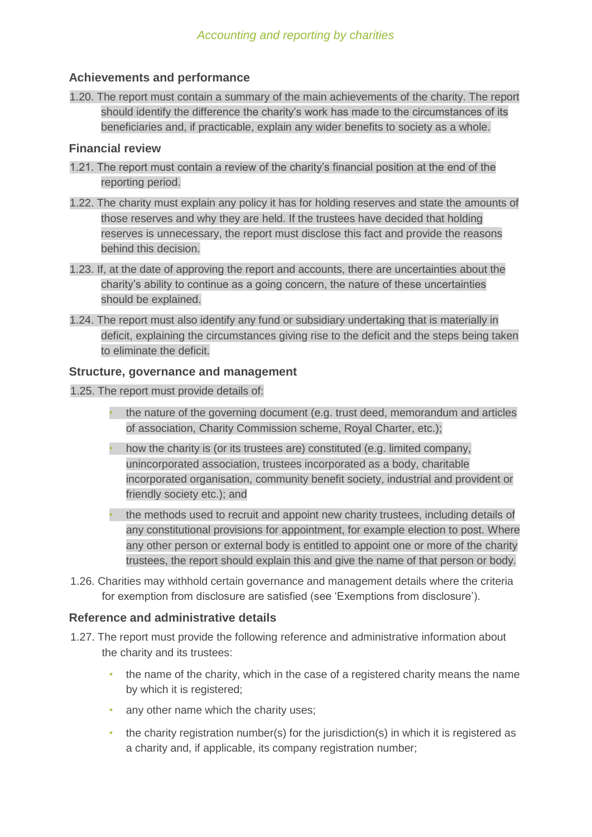#### **Achievements and performance**

1.20. The report must contain a summary of the main achievements of the charity. The report should identify the difference the charity's work has made to the circumstances of its beneficiaries and, if practicable, explain any wider benefits to society as a whole.

#### **Financial review**

- 1.21. The report must contain a review of the charity's financial position at the end of the reporting period.
- 1.22. The charity must explain any policy it has for holding reserves and state the amounts of those reserves and why they are held. If the trustees have decided that holding reserves is unnecessary, the report must disclose this fact and provide the reasons behind this decision.
- 1.23. If, at the date of approving the report and accounts, there are uncertainties about the charity's ability to continue as a going concern, the nature of these uncertainties should be explained.
- 1.24. The report must also identify any fund or subsidiary undertaking that is materially in deficit, explaining the circumstances giving rise to the deficit and the steps being taken to eliminate the deficit.

#### **Structure, governance and management**

- 1.25. The report must provide details of:
	- the nature of the governing document (e.g. trust deed, memorandum and articles of association, Charity Commission scheme, Royal Charter, etc.);
	- how the charity is (or its trustees are) constituted (e.g. limited company, unincorporated association, trustees incorporated as a body, charitable incorporated organisation, community benefit society, industrial and provident or friendly society etc.); and
	- the methods used to recruit and appoint new charity trustees, including details of any constitutional provisions for appointment, for example election to post. Where any other person or external body is entitled to appoint one or more of the charity trustees, the report should explain this and give the name of that person or body.
- 1.26. Charities may withhold certain governance and management details where the criteria for exemption from disclosure are satisfied (see 'Exemptions from disclosure').

### **Reference and administrative details**

- 1.27. The report must provide the following reference and administrative information about the charity and its trustees:
	- the name of the charity, which in the case of a registered charity means the name by which it is registered;
	- any other name which the charity uses;
	- the charity registration number(s) for the jurisdiction(s) in which it is registered as a charity and, if applicable, its company registration number;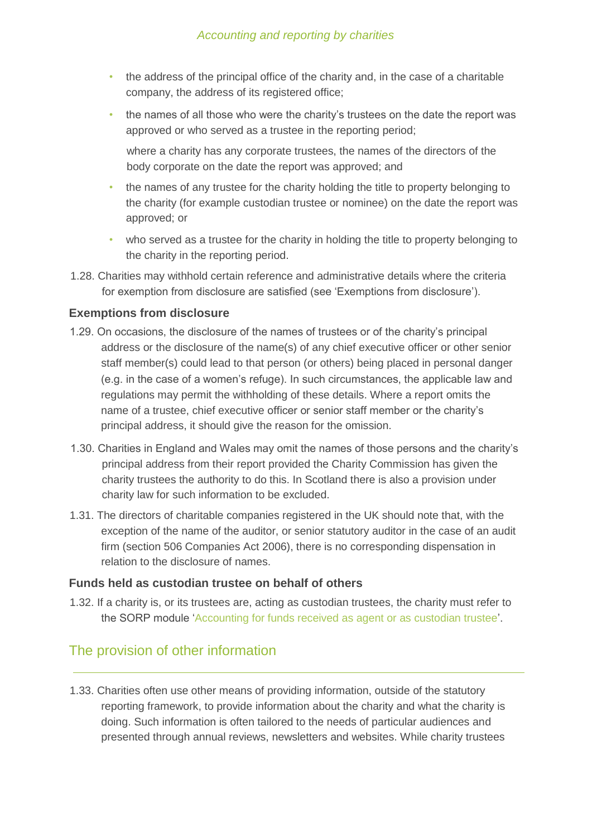- the address of the principal office of the charity and, in the case of a charitable company, the address of its registered office;
- the names of all those who were the charity's trustees on the date the report was approved or who served as a trustee in the reporting period;

where a charity has any corporate trustees, the names of the directors of the body corporate on the date the report was approved; and

- the names of any trustee for the charity holding the title to property belonging to the charity (for example custodian trustee or nominee) on the date the report was approved; or
- who served as a trustee for the charity in holding the title to property belonging to the charity in the reporting period.
- 1.28. Charities may withhold certain reference and administrative details where the criteria for exemption from disclosure are satisfied (see 'Exemptions from disclosure').

### **Exemptions from disclosure**

- 1.29. On occasions, the disclosure of the names of trustees or of the charity's principal address or the disclosure of the name(s) of any chief executive officer or other senior staff member(s) could lead to that person (or others) being placed in personal danger (e.g. in the case of a women's refuge). In such circumstances, the applicable law and regulations may permit the withholding of these details. Where a report omits the name of a trustee, chief executive officer or senior staff member or the charity's principal address, it should give the reason for the omission.
- 1.30. Charities in England and Wales may omit the names of those persons and the charity's principal address from their report provided the Charity Commission has given the charity trustees the authority to do this. In Scotland there is also a provision under charity law for such information to be excluded.
- 1.31. The directors of charitable companies registered in the UK should note that, with the exception of the name of the auditor, or senior statutory auditor in the case of an audit firm (section 506 Companies Act 2006), there is no corresponding dispensation in relation to the disclosure of names.

#### **Funds held as custodian trustee on behalf of others**

1.32. If a charity is, or its trustees are, acting as custodian trustees, the charity must refer to the SORP module 'Accounting for funds received as agent or as custodian trustee'.

# The provision of other information

1.33. Charities often use other means of providing information, outside of the statutory reporting framework, to provide information about the charity and what the charity is doing. Such information is often tailored to the needs of particular audiences and presented through annual reviews, newsletters and websites. While charity trustees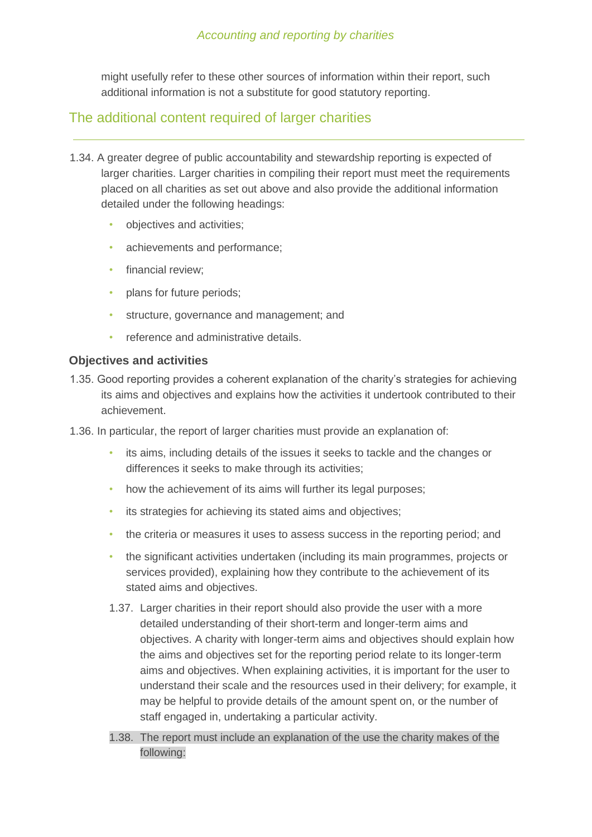might usefully refer to these other sources of information within their report, such additional information is not a substitute for good statutory reporting.

### The additional content required of larger charities

- 1.34. A greater degree of public accountability and stewardship reporting is expected of larger charities. Larger charities in compiling their report must meet the requirements placed on all charities as set out above and also provide the additional information detailed under the following headings:
	- objectives and activities;
	- achievements and performance;
	- financial review:
	- plans for future periods;
	- structure, governance and management; and
	- reference and administrative details.

#### **Objectives and activities**

- 1.35. Good reporting provides a coherent explanation of the charity's strategies for achieving its aims and objectives and explains how the activities it undertook contributed to their achievement.
- 1.36. In particular, the report of larger charities must provide an explanation of:
	- its aims, including details of the issues it seeks to tackle and the changes or differences it seeks to make through its activities;
	- how the achievement of its aims will further its legal purposes;
	- its strategies for achieving its stated aims and objectives;
	- the criteria or measures it uses to assess success in the reporting period; and
	- the significant activities undertaken (including its main programmes, projects or services provided), explaining how they contribute to the achievement of its stated aims and objectives.
	- 1.37. Larger charities in their report should also provide the user with a more detailed understanding of their short-term and longer-term aims and objectives. A charity with longer-term aims and objectives should explain how the aims and objectives set for the reporting period relate to its longer-term aims and objectives. When explaining activities, it is important for the user to understand their scale and the resources used in their delivery; for example, it may be helpful to provide details of the amount spent on, or the number of staff engaged in, undertaking a particular activity.
	- 1.38. The report must include an explanation of the use the charity makes of the following: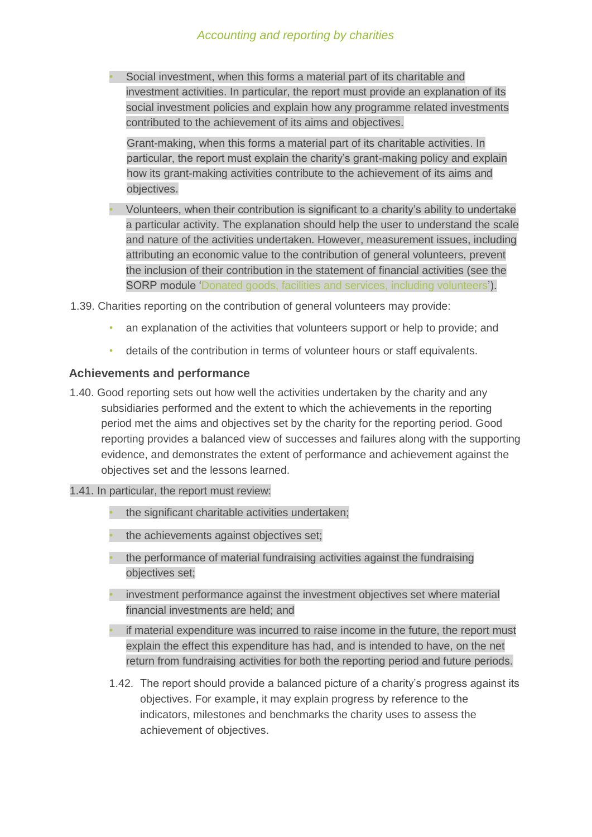Social investment, when this forms a material part of its charitable and investment activities. In particular, the report must provide an explanation of its social investment policies and explain how any programme related investments contributed to the achievement of its aims and objectives.

Grant-making, when this forms a material part of its charitable activities. In particular, the report must explain the charity's grant-making policy and explain how its grant-making activities contribute to the achievement of its aims and objectives.

• Volunteers, when their contribution is significant to a charity's ability to undertake a particular activity. The explanation should help the user to understand the scale and nature of the activities undertaken. However, measurement issues, including attributing an economic value to the contribution of general volunteers, prevent the inclusion of their contribution in the statement of financial activities (see the SORP module 'Donated goods, facilities and services, including volunteers').

1.39. Charities reporting on the contribution of general volunteers may provide:

- an explanation of the activities that volunteers support or help to provide; and
- details of the contribution in terms of volunteer hours or staff equivalents.

#### **Achievements and performance**

- 1.40. Good reporting sets out how well the activities undertaken by the charity and any subsidiaries performed and the extent to which the achievements in the reporting period met the aims and objectives set by the charity for the reporting period. Good reporting provides a balanced view of successes and failures along with the supporting evidence, and demonstrates the extent of performance and achievement against the objectives set and the lessons learned.
- 1.41. In particular, the report must review:
	- the significant charitable activities undertaken;
	- the achievements against objectives set;
	- the performance of material fundraising activities against the fundraising objectives set;
	- investment performance against the investment objectives set where material financial investments are held; and
	- if material expenditure was incurred to raise income in the future, the report must explain the effect this expenditure has had, and is intended to have, on the net return from fundraising activities for both the reporting period and future periods.
	- 1.42. The report should provide a balanced picture of a charity's progress against its objectives. For example, it may explain progress by reference to the indicators, milestones and benchmarks the charity uses to assess the achievement of objectives.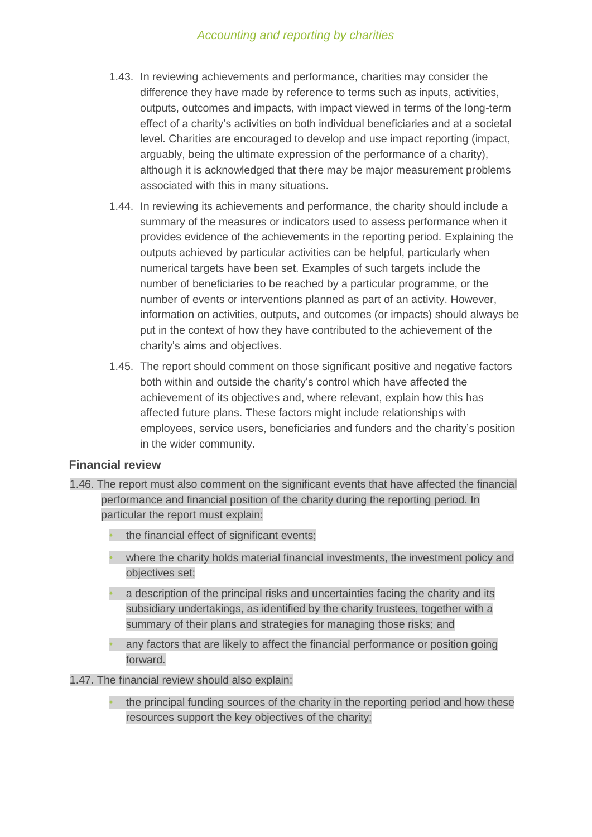#### *Accounting and reporting by charities*

- 1.43. In reviewing achievements and performance, charities may consider the difference they have made by reference to terms such as inputs, activities, outputs, outcomes and impacts, with impact viewed in terms of the long-term effect of a charity's activities on both individual beneficiaries and at a societal level. Charities are encouraged to develop and use impact reporting (impact, arguably, being the ultimate expression of the performance of a charity), although it is acknowledged that there may be major measurement problems associated with this in many situations.
- 1.44. In reviewing its achievements and performance, the charity should include a summary of the measures or indicators used to assess performance when it provides evidence of the achievements in the reporting period. Explaining the outputs achieved by particular activities can be helpful, particularly when numerical targets have been set. Examples of such targets include the number of beneficiaries to be reached by a particular programme, or the number of events or interventions planned as part of an activity. However, information on activities, outputs, and outcomes (or impacts) should always be put in the context of how they have contributed to the achievement of the charity's aims and objectives.
- 1.45. The report should comment on those significant positive and negative factors both within and outside the charity's control which have affected the achievement of its objectives and, where relevant, explain how this has affected future plans. These factors might include relationships with employees, service users, beneficiaries and funders and the charity's position in the wider community.

#### **Financial review**

- 1.46. The report must also comment on the significant events that have affected the financial performance and financial position of the charity during the reporting period. In particular the report must explain:
	- the financial effect of significant events:
	- where the charity holds material financial investments, the investment policy and objectives set;
	- a description of the principal risks and uncertainties facing the charity and its subsidiary undertakings, as identified by the charity trustees, together with a summary of their plans and strategies for managing those risks; and
	- any factors that are likely to affect the financial performance or position going forward.

#### 1.47. The financial review should also explain:

• the principal funding sources of the charity in the reporting period and how these resources support the key objectives of the charity;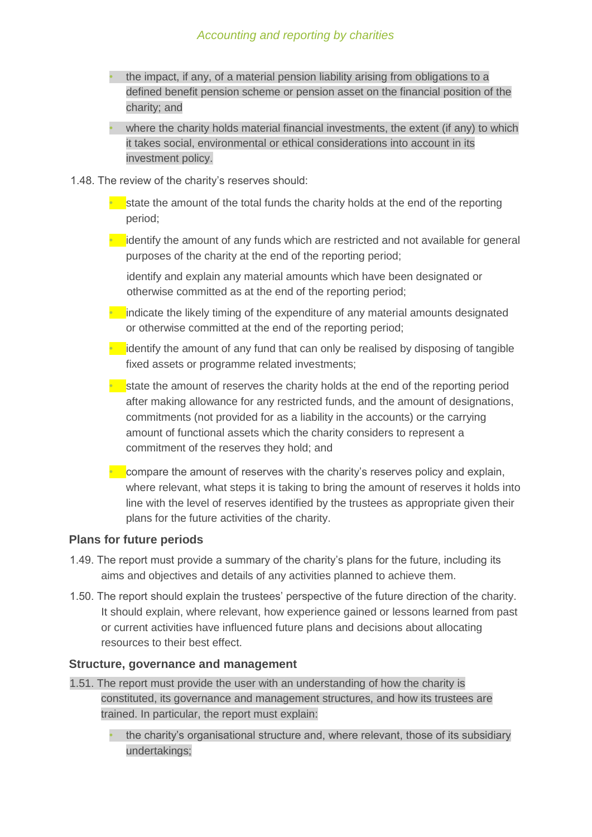- the impact, if any, of a material pension liability arising from obligations to a defined benefit pension scheme or pension asset on the financial position of the charity; and
- where the charity holds material financial investments, the extent (if any) to which it takes social, environmental or ethical considerations into account in its investment policy.
- 1.48. The review of the charity's reserves should:
	- $\bullet$  state the amount of the total funds the charity holds at the end of the reporting period;
	- $\bullet$  identify the amount of any funds which are restricted and not available for general purposes of the charity at the end of the reporting period;

identify and explain any material amounts which have been designated or otherwise committed as at the end of the reporting period;

 $\bullet$  indicate the likely timing of the expenditure of any material amounts designated or otherwise committed at the end of the reporting period;

 $\bullet$  identify the amount of any fund that can only be realised by disposing of tangible fixed assets or programme related investments;

 $\bullet$  state the amount of reserves the charity holds at the end of the reporting period after making allowance for any restricted funds, and the amount of designations, commitments (not provided for as a liability in the accounts) or the carrying amount of functional assets which the charity considers to represent a commitment of the reserves they hold; and

 $\bullet$  compare the amount of reserves with the charity's reserves policy and explain, where relevant, what steps it is taking to bring the amount of reserves it holds into line with the level of reserves identified by the trustees as appropriate given their plans for the future activities of the charity.

### **Plans for future periods**

- 1.49. The report must provide a summary of the charity's plans for the future, including its aims and objectives and details of any activities planned to achieve them.
- 1.50. The report should explain the trustees' perspective of the future direction of the charity. It should explain, where relevant, how experience gained or lessons learned from past or current activities have influenced future plans and decisions about allocating resources to their best effect.

#### **Structure, governance and management**

1.51. The report must provide the user with an understanding of how the charity is constituted, its governance and management structures, and how its trustees are trained. In particular, the report must explain:

• the charity's organisational structure and, where relevant, those of its subsidiary undertakings;